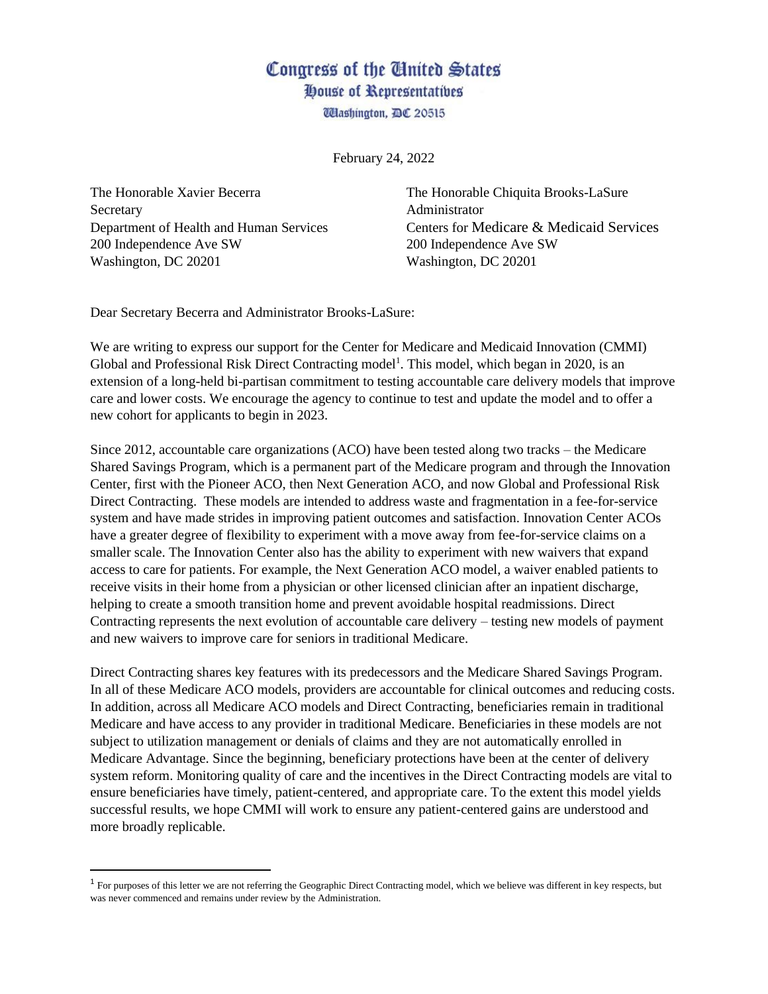## Congress of the United States House of Representatives

**Washington, DC 20515** 

February 24, 2022

The Honorable Xavier Becerra The Honorable Chiquita Brooks-LaSure Secretary **Administrator** 200 Independence Ave SW 200 Independence Ave SW Washington, DC 20201 Washington, DC 20201

Department of Health and Human Services Centers for Medicare & Medicaid Services

Dear Secretary Becerra and Administrator Brooks-LaSure:

We are writing to express our support for the Center for Medicare and Medicaid Innovation (CMMI) Global and Professional Risk Direct Contracting model<sup>1</sup>. This model, which began in 2020, is an extension of a long-held bi-partisan commitment to testing accountable care delivery models that improve care and lower costs. We encourage the agency to continue to test and update the model and to offer a new cohort for applicants to begin in 2023.

Since 2012, accountable care organizations (ACO) have been tested along two tracks – the Medicare Shared Savings Program, which is a permanent part of the Medicare program and through the Innovation Center, first with the Pioneer ACO, then Next Generation ACO, and now Global and Professional Risk Direct Contracting. These models are intended to address waste and fragmentation in a fee-for-service system and have made strides in improving patient outcomes and satisfaction. Innovation Center ACOs have a greater degree of flexibility to experiment with a move away from fee-for-service claims on a smaller scale. The Innovation Center also has the ability to experiment with new waivers that expand access to care for patients. For example, the Next Generation ACO model, a waiver enabled patients to receive visits in their home from a physician or other licensed clinician after an inpatient discharge, helping to create a smooth transition home and prevent avoidable hospital readmissions. Direct Contracting represents the next evolution of accountable care delivery – testing new models of payment and new waivers to improve care for seniors in traditional Medicare.

Direct Contracting shares key features with its predecessors and the Medicare Shared Savings Program. In all of these Medicare ACO models, providers are accountable for clinical outcomes and reducing costs. In addition, across all Medicare ACO models and Direct Contracting, beneficiaries remain in traditional Medicare and have access to any provider in traditional Medicare. Beneficiaries in these models are not subject to utilization management or denials of claims and they are not automatically enrolled in Medicare Advantage. Since the beginning, beneficiary protections have been at the center of delivery system reform. Monitoring quality of care and the incentives in the Direct Contracting models are vital to ensure beneficiaries have timely, patient-centered, and appropriate care. To the extent this model yields successful results, we hope CMMI will work to ensure any patient-centered gains are understood and more broadly replicable.

 $1$  For purposes of this letter we are not referring the Geographic Direct Contracting model, which we believe was different in key respects, but was never commenced and remains under review by the Administration.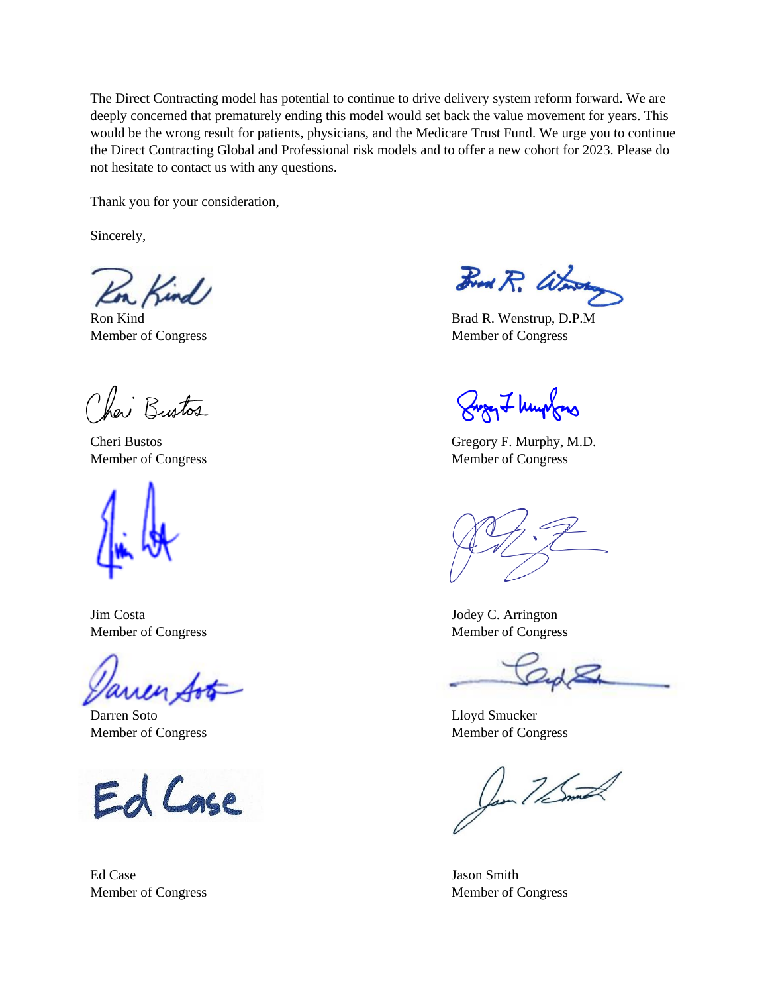The Direct Contracting model has potential to continue to drive delivery system reform forward. We are deeply concerned that prematurely ending this model would set back the value movement for years. This would be the wrong result for patients, physicians, and the Medicare Trust Fund. We urge you to continue the Direct Contracting Global and Professional risk models and to offer a new cohort for 2023. Please do not hesitate to contact us with any questions.

Thank you for your consideration,

Sincerely,

Kind

Chai Bustos



Jim Costa Jodey C. Arrington

Darren Soto Lloyd Smucker

Ed Case

Ed Case Jason Smith

Fred R. War

Ron Kind Brad R. Wenstrup, D.P.M Member of Congress Member of Congress

Burg I huntons

Cheri Bustos Gregory F. Murphy, M.D. Member of Congress Member of Congress

Member of Congress Member of Congress

Member of Congress Member of Congress Member of Congress

Jan 7/Sml

Member of Congress Member of Congress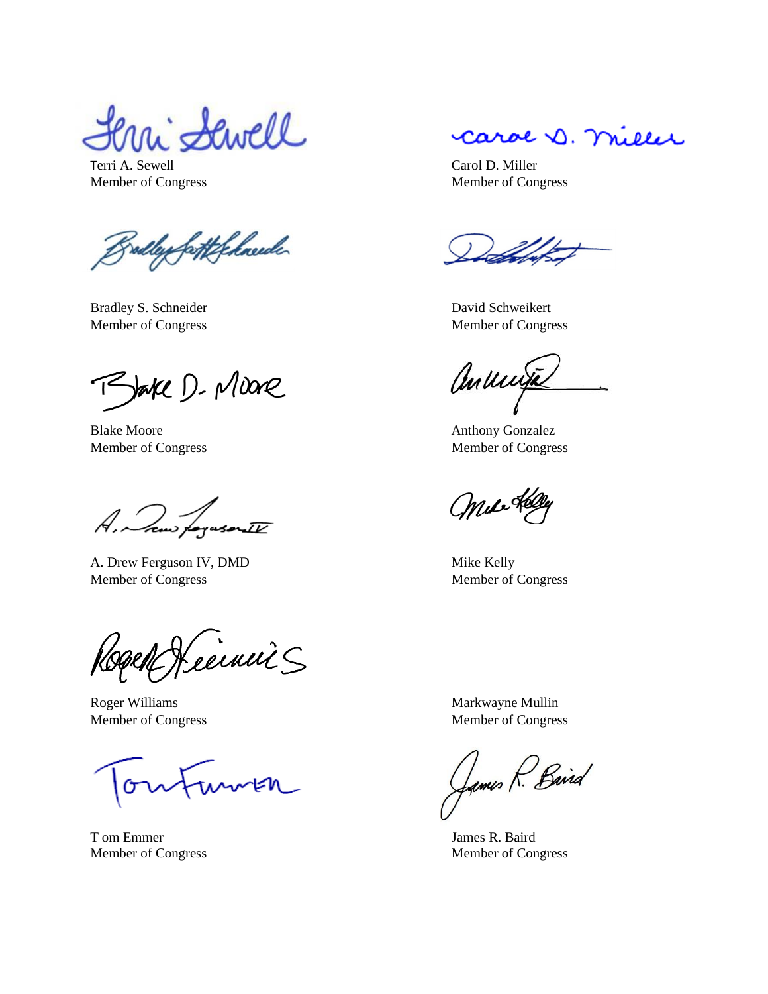i Sewell

Terri A. Sewell Carol D. Miller Member of Congress Member of Congress

radley fatt felneede

Bradley S. Schneider David Schweikert

Bake D. Moore

Blake Moore Anthony Gonzalez

A, Jaw forusorite

A. Drew Ferguson IV, DMD Mike Kelly Member of Congress Member of Congress

ceinni S

Roger Williams Markwayne Mullin

morten

T om Emmer James R. Baird

carol D. miller

Member of Congress Member of Congress

anunja

Member of Congress Member of Congress

Mile

Member of Congress Member of Congress

James R. Baird

Member of Congress Member of Congress